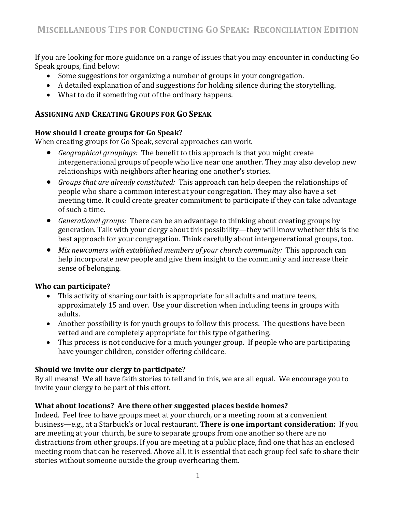If you are looking for more guidance on a range of issues that you may encounter in conducting Go Speak groups, find below:

- Some suggestions for organizing a number of groups in your congregation.
- A detailed explanation of and suggestions for holding silence during the storytelling.
- What to do if something out of the ordinary happens.

## **ASSIGNING AND CREATING GROUPS FOR GO SPEAK**

## **How should I create groups for Go Speak?**

When creating groups for Go Speak, several approaches can work.

- *Geographical groupings:* The benefit to this approach is that you might create intergenerational groups of people who live near one another. They may also develop new relationships with neighbors after hearing one another's stories.
- *Groups that are already constituted:* This approach can help deepen the relationships of people who share a common interest at your congregation. They may also have a set meeting time. It could create greater commitment to participate if they can take advantage of such a time.
- *Generational groups:* There can be an advantage to thinking about creating groups by generation. Talk with your clergy about this possibility—they will know whether this is the best approach for your congregation. Think carefully about intergenerational groups, too.
- *Mix newcomers with established members of your church community:* This approach can help incorporate new people and give them insight to the community and increase their sense of belonging.

## **Who can participate?**

- This activity of sharing our faith is appropriate for all adults and mature teens, approximately 15 and over. Use your discretion when including teens in groups with adults.
- Another possibility is for youth groups to follow this process. The questions have been vetted and are completely appropriate for this type of gathering.
- This process is not conducive for a much younger group. If people who are participating have younger children, consider offering childcare.

## **Should we invite our clergy to participate?**

By all means! We all have faith stories to tell and in this, we are all equal. We encourage you to invite your clergy to be part of this effort.

## **What about locations? Are there other suggested places beside homes?**

Indeed. Feel free to have groups meet at your church, or a meeting room at a convenient business—e.g., at a Starbuck's or local restaurant. **There is one important consideration:** If you are meeting at your church, be sure to separate groups from one another so there are no distractions from other groups. If you are meeting at a public place, find one that has an enclosed meeting room that can be reserved. Above all, it is essential that each group feel safe to share their stories without someone outside the group overhearing them.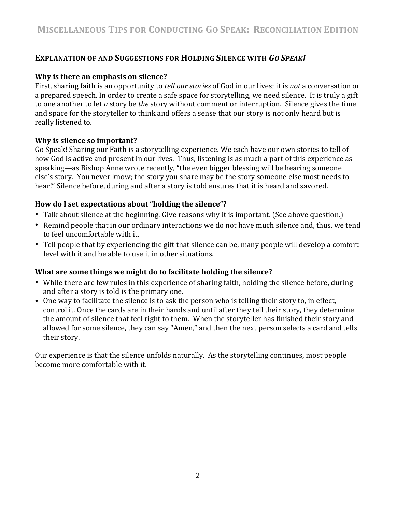# **EXPLANATION OF AND SUGGESTIONS FOR HOLDING SILENCE WITH** *GO SPEAK!*

#### **Why is there an emphasis on silence?**

First, sharing faith is an opportunity to *tell our stories* of God in our lives; it is *not* a conversation or a prepared speech. In order to create a safe space for storytelling, we need silence. It is truly a gift to one another to let *a* story be *the* story without comment or interruption. Silence gives the time and space for the storyteller to think and offers a sense that our story is not only heard but is really listened to.

#### **Why is silence so important?**

Go Speak! Sharing our Faith is a storytelling experience. We each have our own stories to tell of how God is active and present in our lives. Thus, listening is as much a part of this experience as speaking—as Bishop Anne wrote recently, "the even bigger blessing will be hearing someone else's story. You never know; the story you share may be the story someone else most needs to hear!" Silence before, during and after a story is told ensures that it is heard and savored.

## **How do I set expectations about "holding the silence"?**

- Talk about silence at the beginning. Give reasons why it is important. (See above question.)
- Remind people that in our ordinary interactions we do not have much silence and, thus, we tend to feel uncomfortable with it.
- Tell people that by experiencing the gift that silence can be, many people will develop a comfort level with it and be able to use it in other situations.

## **What are some things we might do to facilitate holding the silence?**

- While there are few rules in this experience of sharing faith, holding the silence before, during and after a story is told is the primary one.
- One way to facilitate the silence is to ask the person who is telling their story to, in effect, control it. Once the cards are in their hands and until after they tell their story, they determine the amount of silence that feel right to them. When the storyteller has finished their story and allowed for some silence, they can say "Amen," and then the next person selects a card and tells their story.

Our experience is that the silence unfolds naturally. As the storytelling continues, most people become more comfortable with it.